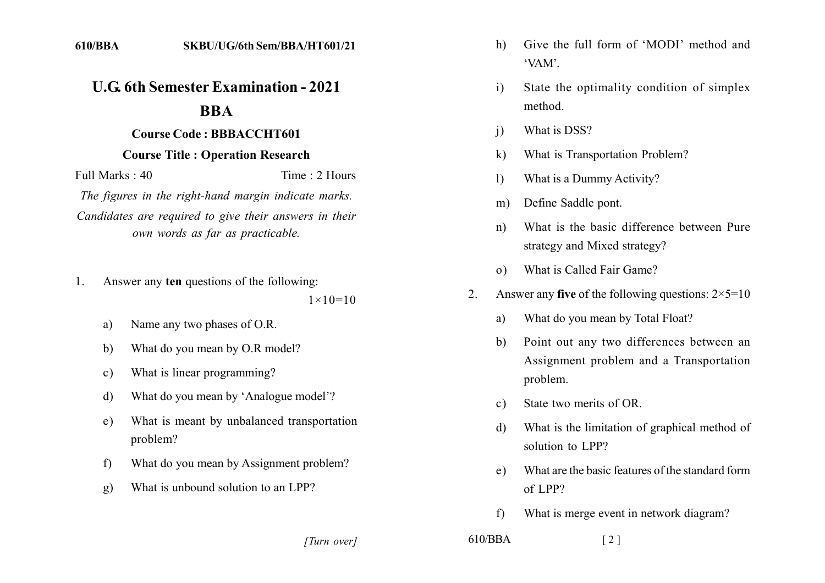## **U.G. 6th Semester Examination - 2021 BBA**

## **Course Code: BBBACCHT601**

## **Course Title: Operation Research**

Time  $\cdot$  2 Hours Full Marks  $\cdot$  40

The figures in the right-hand margin indicate marks. Candidates are required to give their answers in their own words as far as practicable.

- Answer any ten questions of the following:  $\mathbf{1}$ .  $1 \times 10 = 10$ 
	- Name any two phases of O.R. a)
	- What do you mean by O.R model? b)
	- What is linear programming?  $c)$
	- What do you mean by 'Analogue model'? d)
	- What is meant by unbalanced transportation  $e)$ problem?
	- $f$ What do you mean by Assignment problem?
	- What is unbound solution to an LPP?  $g)$
- $h)$ Give the full form of 'MODI' method and 'VAM'
- State the optimality condition of simplex  $\mathbf{i}$ method.
- What is DSS?  $\mathbf{i}$
- $\bf k$ What is Transportation Problem?
- What is a Dummy Activity?  $\mathbf{D}$
- Define Saddle pont.  $m)$
- What is the basic difference between Pure  $n)$ strategy and Mixed strategy?
- o) What is Called Fair Game?
- Answer any five of the following questions:  $2 \times 5 = 10$  $2^{\circ}$ 
	- What do you mean by Total Float?  $a)$
	- Point out any two differences between an  $b)$ Assignment problem and a Transportation problem.
	- State two merits of OR.  $c)$
	- What is the limitation of graphical method of d) solution to LPP?
	- What are the basic features of the standard form  $e)$  $of LPP?$
	- $f$ What is merge event in network diagram?

[Turn over]

 $610/BBA$